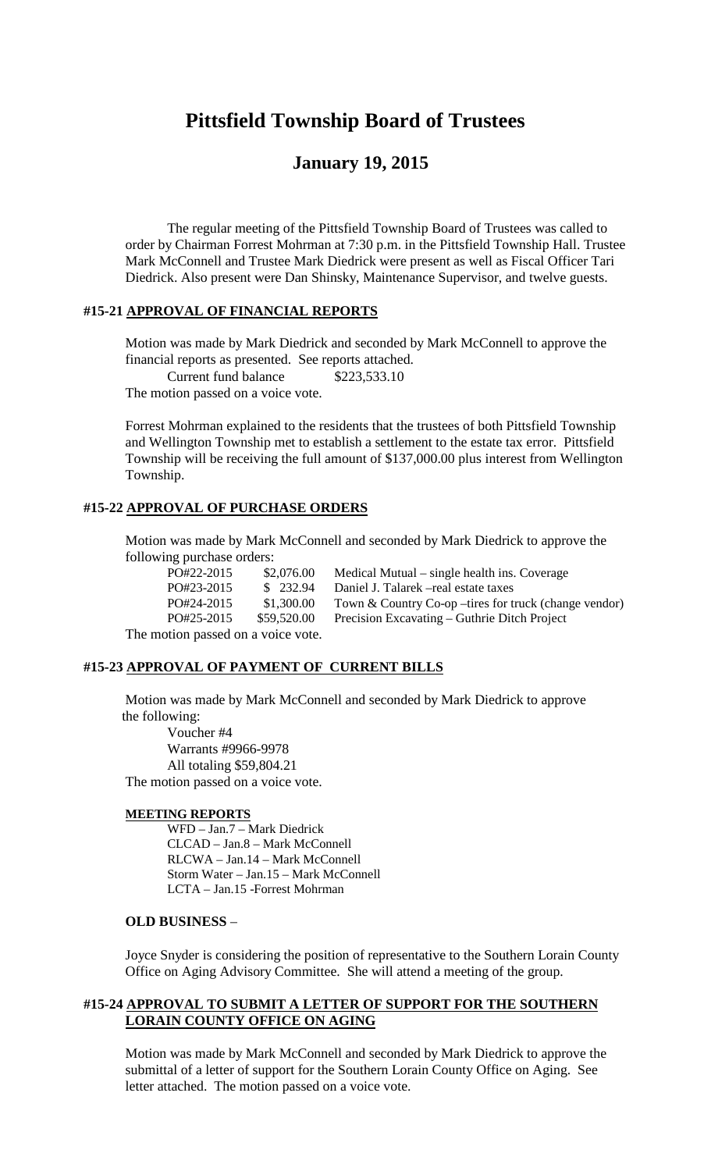# **Pittsfield Township Board of Trustees**

## **January 19, 2015**

The regular meeting of the Pittsfield Township Board of Trustees was called to order by Chairman Forrest Mohrman at 7:30 p.m. in the Pittsfield Township Hall. Trustee Mark McConnell and Trustee Mark Diedrick were present as well as Fiscal Officer Tari Diedrick. Also present were Dan Shinsky, Maintenance Supervisor, and twelve guests.

#### **#15-21 APPROVAL OF FINANCIAL REPORTS**

Motion was made by Mark Diedrick and seconded by Mark McConnell to approve the financial reports as presented. See reports attached.

Current fund balance \$223,533.10

The motion passed on a voice vote.

Forrest Mohrman explained to the residents that the trustees of both Pittsfield Township and Wellington Township met to establish a settlement to the estate tax error. Pittsfield Township will be receiving the full amount of \$137,000.00 plus interest from Wellington Township.

### **#15-22 APPROVAL OF PURCHASE ORDERS**

Motion was made by Mark McConnell and seconded by Mark Diedrick to approve the following purchase orders:

| PO#22-2015                                        | \$2,076.00  | Medical Mutual – single health ins. Coverage           |
|---------------------------------------------------|-------------|--------------------------------------------------------|
| PO#23-2015                                        | \$232.94    | Daniel J. Talarek – real estate taxes                  |
| PO#24-2015                                        | \$1,300.00  | Town & Country Co-op – tires for truck (change vendor) |
| PO#25-2015                                        | \$59,520.00 | Precision Excavating – Guthrie Ditch Project           |
| ar extension en el estado en la contra el especie |             |                                                        |

The motion passed on a voice vote.

#### **#15-23 APPROVAL OF PAYMENT OF CURRENT BILLS**

Motion was made by Mark McConnell and seconded by Mark Diedrick to approve the following:

Voucher #4 Warrants #9966-9978 All totaling \$59,804.21 The motion passed on a voice vote.

#### **MEETING REPORTS**

WFD – Jan.7 – Mark Diedrick CLCAD – Jan.8 – Mark McConnell RLCWA – Jan.14 – Mark McConnell Storm Water – Jan.15 – Mark McConnell LCTA – Jan.15 -Forrest Mohrman

#### **OLD BUSINESS** –

Joyce Snyder is considering the position of representative to the Southern Lorain County Office on Aging Advisory Committee. She will attend a meeting of the group.

#### **#15-24 APPROVAL TO SUBMIT A LETTER OF SUPPORT FOR THE SOUTHERN LORAIN COUNTY OFFICE ON AGING**

Motion was made by Mark McConnell and seconded by Mark Diedrick to approve the submittal of a letter of support for the Southern Lorain County Office on Aging. See letter attached. The motion passed on a voice vote.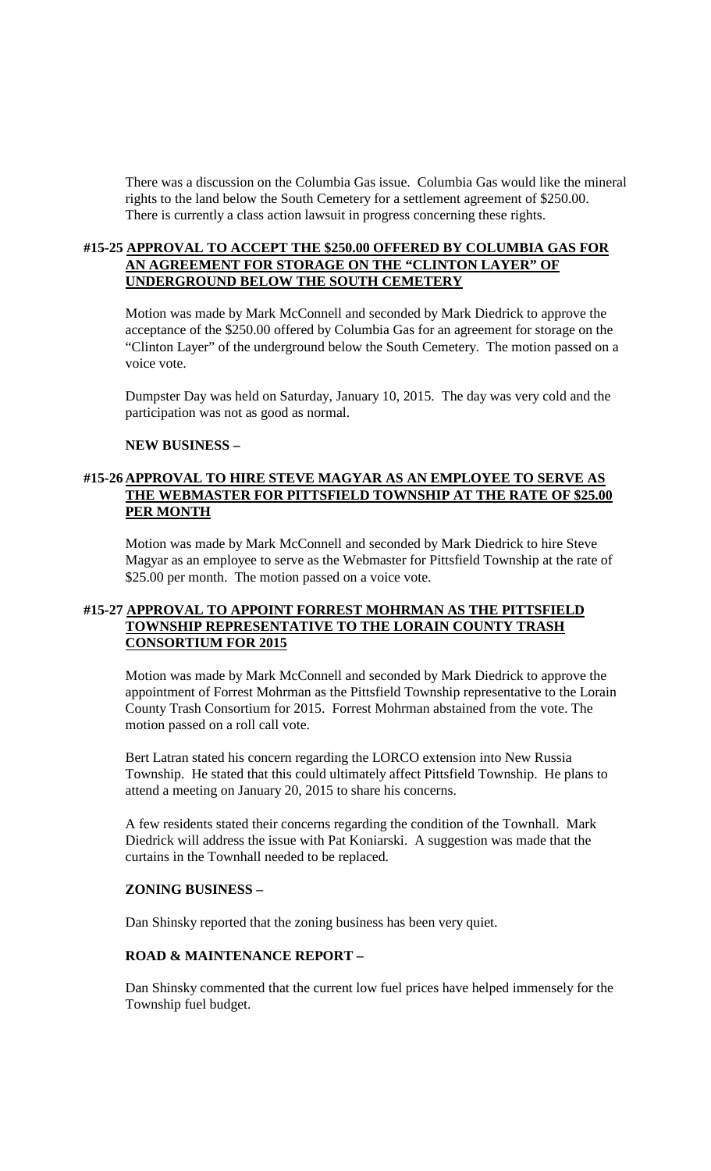There was a discussion on the Columbia Gas issue. Columbia Gas would like the mineral rights to the land below the South Cemetery for a settlement agreement of \$250.00. There is currently a class action lawsuit in progress concerning these rights.

#### **#15-25 APPROVAL TO ACCEPT THE \$250.00 OFFERED BY COLUMBIA GAS FOR AN AGREEMENT FOR STORAGE ON THE "CLINTON LAYER" OF UNDERGROUND BELOW THE SOUTH CEMETERY**

Motion was made by Mark McConnell and seconded by Mark Diedrick to approve the acceptance of the \$250.00 offered by Columbia Gas for an agreement for storage on the "Clinton Layer" of the underground below the South Cemetery. The motion passed on a voice vote.

Dumpster Day was held on Saturday, January 10, 2015. The day was very cold and the participation was not as good as normal.

#### **NEW BUSINESS –**

#### **#15-26 APPROVAL TO HIRE STEVE MAGYAR AS AN EMPLOYEE TO SERVE AS THE WEBMASTER FOR PITTSFIELD TOWNSHIP AT THE RATE OF \$25.00 PER MONTH**

Motion was made by Mark McConnell and seconded by Mark Diedrick to hire Steve Magyar as an employee to serve as the Webmaster for Pittsfield Township at the rate of \$25.00 per month. The motion passed on a voice vote.

#### **#15-27 APPROVAL TO APPOINT FORREST MOHRMAN AS THE PITTSFIELD TOWNSHIP REPRESENTATIVE TO THE LORAIN COUNTY TRASH CONSORTIUM FOR 2015**

Motion was made by Mark McConnell and seconded by Mark Diedrick to approve the appointment of Forrest Mohrman as the Pittsfield Township representative to the Lorain County Trash Consortium for 2015. Forrest Mohrman abstained from the vote. The motion passed on a roll call vote.

Bert Latran stated his concern regarding the LORCO extension into New Russia Township. He stated that this could ultimately affect Pittsfield Township. He plans to attend a meeting on January 20, 2015 to share his concerns.

A few residents stated their concerns regarding the condition of the Townhall. Mark Diedrick will address the issue with Pat Koniarski. A suggestion was made that the curtains in the Townhall needed to be replaced.

#### **ZONING BUSINESS –**

Dan Shinsky reported that the zoning business has been very quiet.

#### **ROAD & MAINTENANCE REPORT –**

Dan Shinsky commented that the current low fuel prices have helped immensely for the Township fuel budget.